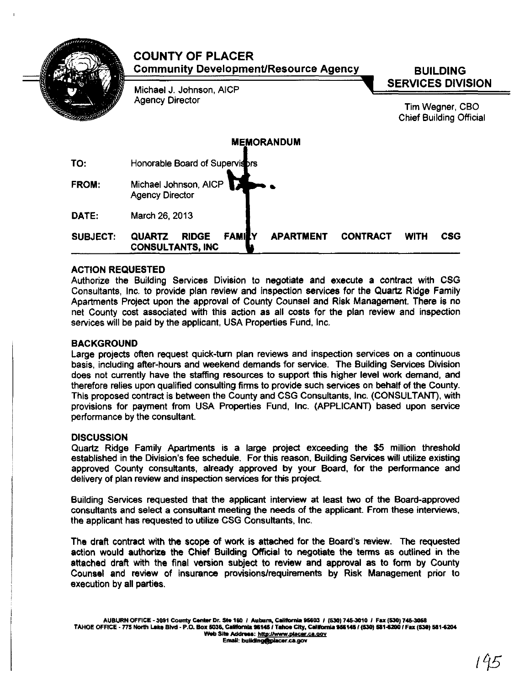|                 | <b>COUNTY OF PLACER</b><br><b>Community Development/Resource Agency</b>                       | <b>BUILDING</b>                                   |  |
|-----------------|-----------------------------------------------------------------------------------------------|---------------------------------------------------|--|
|                 | Michael J. Johnson, AICP                                                                      | <b>SERVICES DIVISION</b>                          |  |
|                 | <b>Agency Director</b>                                                                        | Tim Wegner, CBO<br><b>Chief Building Official</b> |  |
|                 | <b>MEMORANDUM</b>                                                                             |                                                   |  |
| TO:             | Honorable Board of Supervisors                                                                |                                                   |  |
| FROM:           | Michael Johnson, AICP<br><b>Agency Director</b>                                               |                                                   |  |
| DATE:           | March 26, 2013                                                                                |                                                   |  |
| <b>SUBJECT:</b> | <b>APARTMENT</b><br><b>RIDGE</b><br><b>FAMILY</b><br><b>QUARTZ</b><br><b>CONSULTANTS, INC</b> | <b>CONTRACT</b><br><b>CSG</b><br><b>WITH</b>      |  |

#### ACTION REQUESTED

Authorize the Building Services Division to negotiate and execute a contract with CSG Consultants, Inc. to provide plan review and inspection services for the Quartz Ridge Family Apartments Project upon the approval of County Counsel and Risk Management. There is no net County cost associated with this action as all costs for the plan review and inspection services will be paid by the applicant, USA Properties Fund, Inc.

#### BACKGROUND

Large projects often request quick-tum plan reviews and inspection services on a continuous basis, including after-hours and weekend demands for service. The Building Services Division does not currently have the staffing resources to support this higher level work demand, and therefore relies upon qualified consulting firms to provide such services on behalf of the County. This proposed contract is between the County and CSG Consultants, Inc. (CONSULTANT), with provisions for payment from USA Properties Fund, Inc. (APPLICANT) based upon service performance by the consultant.

#### **DISCUSSION**

Quartz Ridge Family Apartments is a large project exceeding the \$5 million threshold established in the Division's fee schedule. For this reason, Building Services will utilize existing approved County consultants, already approved by your Board, for the performance and delivery of plan review and inspection services for this project.

BUilding Services requested that the applicant interview at least two of the Board-approved consultants and select a consultant meeting the needs of the applicant. From these interviews, the applicant has requested to utilize CSG Consultants, Inc.

The draft contract with the scope of work is attached for the Board's review. The requested action would authorize the Chief Building Official to negotiate the terms as outlined in the attached draft with the final version subject to review and approval as to form by County Counsel and review of insurance provisions/requirements by Risk Management prior to execution by all parties.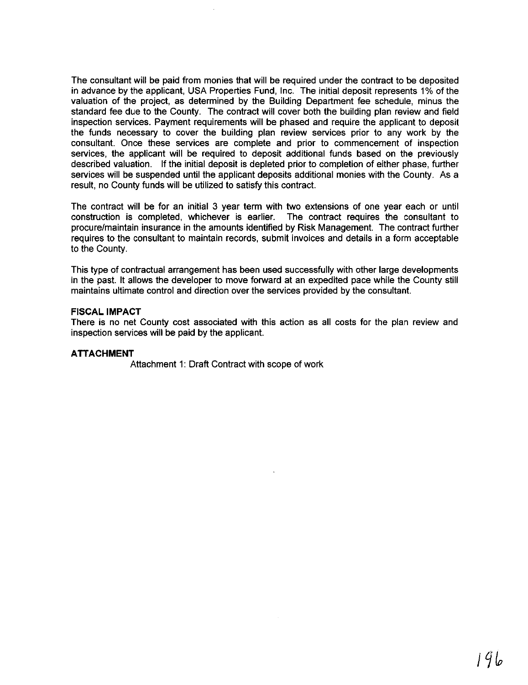The consultant will be paid from monies that will be required under the contract to be deposited in advance by the applicant, USA Properties Fund, Inc. The initial deposit represents 1% of the valuation of the project, as determined by the Building Department fee schedule, minus the standard fee due to the County. The contract will cover both the building plan review and field inspection services. Payment requirements will be phased and require the applicant to deposit the funds necessary to cover the building plan review services prior to any work by the consultant. Once these services are complete and prior to commencement of inspection services, the applicant will be required to deposit additional funds based on the previously described valuation. If the initial deposit is depleted prior to completion of either phase, further services will be suspended until the applicant deposits additional monies with the County. As a result, no County funds will be utilized to satisfy this contract.

The contract will be for an initial 3 year term with two extensions of one year each or until construction is completed, whichever is earlier. The contract requires the consultant to procure/maintain insurance in the amounts identified by Risk Management. The contract further requires to the consultant to maintain records, submit invoices and details in a form acceptable to the County.

This type of contractual arrangement has been used successfully with other large developments in the past. It allows the developer to move forward at an expedited pace while the County still maintains ultimate control and direction over the services provided by the consultant.

#### **FISCAL IMPACT**

There is no net County cost associated with this action as all costs for the plan review and inspection services will be paid by the applicant.

#### **ATTACHMENT**

Attachment 1: Draft Contract with scope of work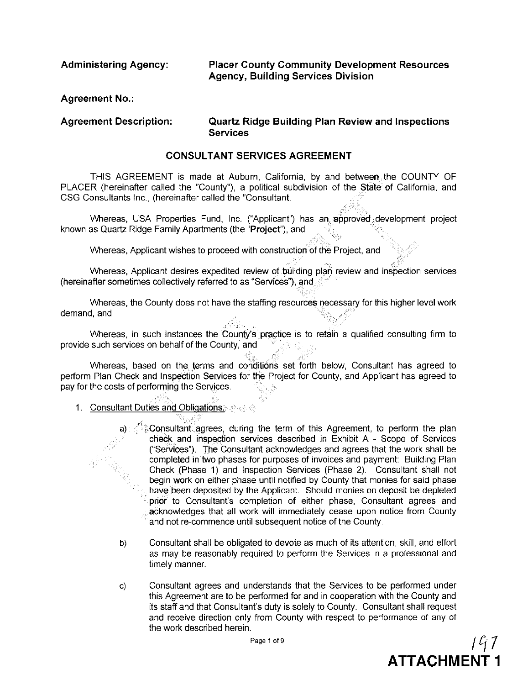**Administering Agency:**

**Placer County Community Development Resources Agency, Building Services Division**

 $\tilde{\mathbb{S}}$ 

**ATTACHMENT 1**

**Agreement No.:**

#### **Agreement Description: Quartz Ridge Building Plan Review and Inspections Services**

#### **CONSULTANT SERVICES AGREEMENT**

THIS AGREEMENT is made at Auburn, California, by and between the COUNTY OF PLACER (hereinafter called the "County"), a political subdivision of the State of California, and CSG Consultants Inc., (hereinafter called the "Consultant.

Whereas, USA Properties Fund, Inc. ("Applicant") has an approved development project known as Quartz Ridge Family Apartments (the "Project"), and

Whereas, Applicant wishes to proceed with construction of the Project, and

Whereas, Applicant desires expedited review of building plan review and inspection services (hereinafter sometimes collectively referred to as "Services"), and  $\mathbb{S}^2$ 

Whereas, the County does not have the staffing resourceli i"lecessary for this higher level work demand, and ,. ~. .

*i·····,····, ,* Whereas, in such instances the County's' practice is to retain a qualified consulting firm to provide such services on behalf of the County, and

Whereas, based on the terms and conditions set forth below, Consultant has agreed to perform Plan Check and Inspection Services for the Project for County, and Applicant has agreed to pay for the costs of performing the Services.

1. Consultant Duties and Obligations. ..•.. ', ,",'

> a) ."Consultanf:agrees, during the term of this Agreement, to perform the plan check and inspection services described in Exhibit A - Scope of Services ("SerVlces"). The Consultant acknowledges and agrees that the work shall be completed in two phases for purposes of invoices and payment: Building Plan Check (Phase 1) and Inspection Services (Phase 2). Consultant shall not begin work on either phase until notified by County that monies for said phase have been deposited by the Applicant. Should monies on deposit be depleted prior to Consultant's completion of either phase, Consultant agrees and acknowledges that all work will immediately cease upon notice from County and not re-commence until subsequent notice of the County.

- b) Consultant shall be obligated to devote as much of its attention, skill, and effort as may be reasonably required to perform the Services in a professional and timely manner.
- c) Consultant agrees and understands that the Services to be performed under this Agreement are to be performed for and in cooperation with the County and its staff and that Consultant's duty is solely to County. Consultant shall request and receive direction only from County with respect to performance of any of the work described herein. Page 1 of 9  $\int l'_1$   $\int$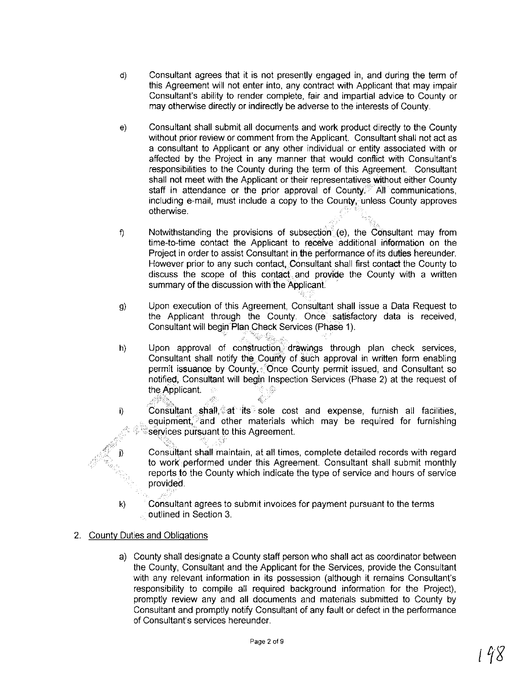- d) Consultant agrees that it is not presently engaged in, and during the term of this Agreement will not enter into, any contract with Applicant that may impair Consultant's ability to render complete, fair and impartial advice to County or may otherwise directly or indirectly be adverse to the interests of County.
- e) Consultant shall submit all documents and work product directly to the County without prior review or comment from the Applicant. Consultant shall not act as a consultant to Applicant or any other individual or entity associated with or affected by the Project in any manner that would conflict with Consultant's responsibilities to the County during the term of this Agreement. Consultant shall not meet with the Applicant or their representatives Without either County staff in attendance or the prior approval of County.<sup>27</sup> All communications, including e-mail, must include a copy to the County, unless County approves otherwise.
- f) Notwithstanding the provisions of subsection (e), the Consultant may from time-to-time contact the Applicant to receive additional information on the Project in order to assist Consultant in the performance of its duties hereunder. However prior to any such contact. Consultant shall first contact the County to discuss the scope of this contact.and provide the County with a written summary of the discussion with the Applicant.
- g) Upon execution of this Agreement, Consultant shall issue a Data Request to the Applicant through the County. Once satisfactory data is received, Consultant will begin Plan Check Services (Phase 1).

So 45

- h) Upon approval of construction. drawings through plan check services, Consultant shall notify the County of such approval in written form enabling permit issuance by County, Once County permit issued, and Consultant so notified, Consultant will begin Inspection Services (Phase 2) at the request of the Applicant. - 12 i'; c "', c "', c "', c "', c "', c "', c "', c "', c "', c "', c "', c "', c "', c "
	- Consultant shall, $\hat{\mathbb{Q}}$  at its sole cost and expense, furnish all facilities, equipment, and other materials which may be required for furnishing services pursuant to this Agreement.
		- '" ' Consultant shall maintain, at all times, complete detailed records with regard to work performed under this Agreement. Consultant shall submit monthly reports **to** the County which indicate the type of service and hours of service provided.
- k) Consultant agrees to submit invoices for payment pursuant to the terms outlined in Section 3.
- 2. County Duties and Obligations

i)

j)

a) County shall designate a County staff person who shall act as coordinator between the County, Consultant and the Applicant for the Services, provide the Consultant with any relevant information in its possession (although it remains Consultant's responsibility to compile all required background information for the Project), promptly review any and all documents and materials submitted to County by Consultant and promptly notify Consultant of any fault or defect in the performance of Consultant's services hereunder.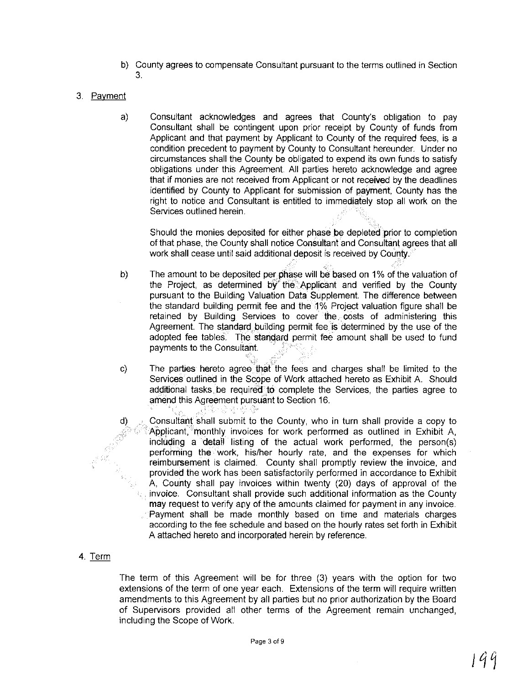- b) County agrees to compensate Consultant pursuant to the terms outlined in Section 3.
- 3. Payment
	- a) Consultant acknowledges and agrees that County's obligation to pay Consultant shall be contingent upon prior receipt by County of funds from Applicant and that payment by Applicant to County of the required fees, is a condition precedent to payment by County to Consultant hereunder. Under no circumstances shall the County be obligated to expend its own funds to satisfy obligations under this Agreement All parties hereto acknowledge and agree that if monies are not received from Applicant or not received by the deadlines identified by County to Applicant for submission of payment, County has the right to notice and Consultant is entitled to immediately stop all work on the Services outlined herein.

Should the monies deposited for either phase be depleted prior to completion of that phase, the County shall notice Consultant and Consultant agrees that all work shall cease until said additional deposit is received by County.

- b) The amount to be deposited per phase will be based on 1% of the valuation of the Project, as determined by the Applicant and verified by the County pursuant to the Building Valuation Data Supplement. The difference between the standard building permit fee and the 1% Project valuation figure shall be retained by Building Services to cover the. costs of administering this Agreement. The standard building permit fee is determined by the use of the adopted fee tables. The standard permit fee amount shall be used to fund payments to the Consultant. .
- c) The parties hereto agree that the fees and charges shall be limited to the Services outlined in the Scope of Work attached hereto as Exhibit A. Should additional tasks be required to complete the Services, the parties agree to amend this Agreement pursuant to Section 16.
	- Consultant shall submit to the County, who in turn shall provide a copy to Applicant, monthly invoices for work performed as outlined in Exhibit A. including a detail listing of the actual work performed, the person(s) performing the work, his/her hourly rate, and the expenses for which reimbursement is claimed. County shall promptly review the invoice, and provided the work has been satisfactorily performed in accordance to Exhibit A, County shall pay invoices within twenty (20) days of approval of the invoice. Consultant shall provide such additional information as the County may request to verify any of the amounts claimed for payment in any invoice. Payment shall be made monthly based on time and materials charges according to the fee schedule and based on the hourly rates set forth in Exhibit A attached hereto and incorporated herein by reference.

#### 4. Term

d)

The term of this Agreement will be for three (3) years with the option for two extensions of the term of one year each. Extensions of the term will require written amendments to this Agreement by all parties but no prior authorization by the Board of Supervisors provided all other terms of the Agreement remain unchanged, including the Scope of Work.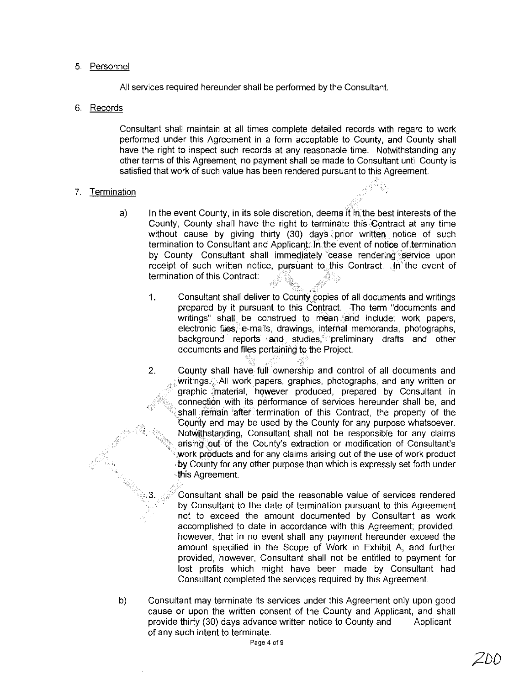#### 5. Personnel

All services required hereunder shall be performed by the Consultant.

#### 6. Records

Consultant shall maintain at all times complete detailed records with regard to work performed under this Agreement in a form acceptable to County, and County shall have the right to inspect such records at any reasonable time. Notwithstanding any other terms of this Agreement, no payment shall be made to Consultant until County is satisfied that work of such value has been rendered pursuant to this Agreement.

#### 7. Termination

- a) In the event County, in its sole discretion, deems it in the best interests of the County, County shall have the right to terminate this Contract at any time without cause by giving thirty (30) days prior written notice of such termination to Consultant and Applicant. In the event of notice of termination by County, Consultant shall immediately cease rendering service upon receipt of such written notice, pursuant to this Contract. **In** the event of termination of this Contract: i.
	- 1. Consultant shall deliver to County copies of all documents and writings prepared by it pursuant to this Contract. The term "documents and writings" shall be construed to mean and include: work papers, electronic files, e-mails, drawings, internal memoranda, photographs, background reports and studies, preliminary drafts and other documents and files pertaining to the Project.
	- 2. County shall have full ownership and control of all documents and writings...All work papers, graphics, photographs, and any written or graphic material, however produced, prepared by Consultant in connection with its performance of services hereunder shall be, and shall remain after termination of this Contract, the property of the County and may be used by the County for any purpose whatsoever. Notwithstanding, Consultant shall not be responsible for any claims arising out of the County's extraction or modification of Consultant's work products and for any claims arising out of the use of work product by County for any other purpose than which is expressly set forth under this Agreement.

Consultant shall be paid the reasonable value of services rendered by Consultant to the date of termination pursuant to this Agreement not to exceed the amount documented by Consultant as work accomplished to date in accordance with this Agreement; provided, however, that in no event shall any payment hereunder exceed the amount specified in the Scope of Work in Exhibit A, and further provided, however, Consultant shall not be entitled to payment for lost profits which might have been made by Consultant had Consultant completed the services required by this Agreement.

b) Consultant may terminate its services under this Agreement only upon good cause or upon the written consent of the County and Applicant, and shall provide thirty (30) days advance written notice to County and Applicant of any such intent to terminate.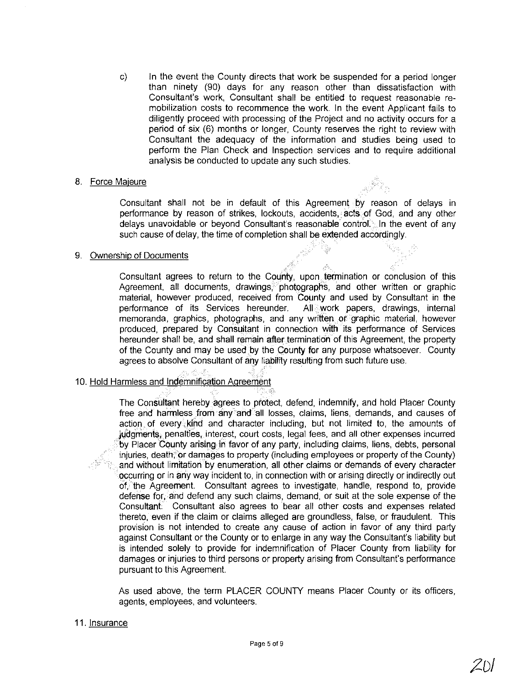c) In the event the County directs that work be suspended for a period longer than ninety (90) days for any reason other than dissatisfaction with Consultant's work, Consultant shall be entitled to request reasonable remobilization costs to recommence the work. In the event Applicant fails to diligently proceed with processing of the Project and no activity occurs for a period of six (6) months or longer, County reserves the right to review with Consultant the adequacy of the information and studies being used to perform the Plan Check and Inspection services and to require additional analysis be conducted to update any such studies.

#### 8. Force Majeure

Consultant shall not be in default of this Agreemen\· by reason of delays in performance by reason of strikes, lockouts, accidents, acts of God, and any other delays unavoidable or beyond Consultant's reasonable control.. In the event of any such cause of delay, the time of completion shall be extended accordingly.

#### 9. Ownership of Documents

Consultant agrees to return to the County, upon termination or conclusion of this Agreement, all documents, drawings, photographs, and other written or graphic material, however produced, received from County and used by Consultant in the performance of its Services hereunder. All work papers, drawings, internal memoranda, graphics, photographs, and any written. or graphic material, however produced, prepared by Consultant in connection with its performance of Services hereunder shall be, and shall remain after termination of this Agreement, the properly of the County and may be used by the County for any purpose whatsoever. County agrees to absolve Consultant of any liability resulting from such future use.

#### 10. Hold Harmless and Indemnification Agreement

," .',' .\_', '

The Consultant hereby agrees to protect, defend, indemnify, and hold Placer County free and harmless from any and all losses, claims, liens, demands, and causes of action., of every.,klnd and character including, but not limited to, the amounts of judgments, penalties, interest, court costs, legal fees, and all other expenses incurred by Placer County arising in favor of any party, including claims, liens, debts, personal  $injuries, death, or damages to property (including employees or property of the County)$ and without limitation by enumeration, all other claims or demands of every character occurring or in any way incident to, in connection with or arising directly or indirectly out of, the Agreement. Consultant agrees to investigate, handle, respond to, provide defense for, and defend any such claims, demand, or suit at the sale expense of the Consultant. Consultant also agrees to bear all other costs and expenses related thereto, even if the claim or claims alleged are groundless, false, or fraudulent. This provision is not intended to create any cause of action in favor of any third parly against Consultant or the County or to enlarge in any way the Consultant's liability but is intended solely to provide for indemnification of Placer County from liability for damages or injuries to third persons or properly arising from Consultant's performance pursuant to this Agreement.

As used above, the term PLACER COUNTY means Placer County or its officers, agents, employees, and volunteers.

#### 11. Insurance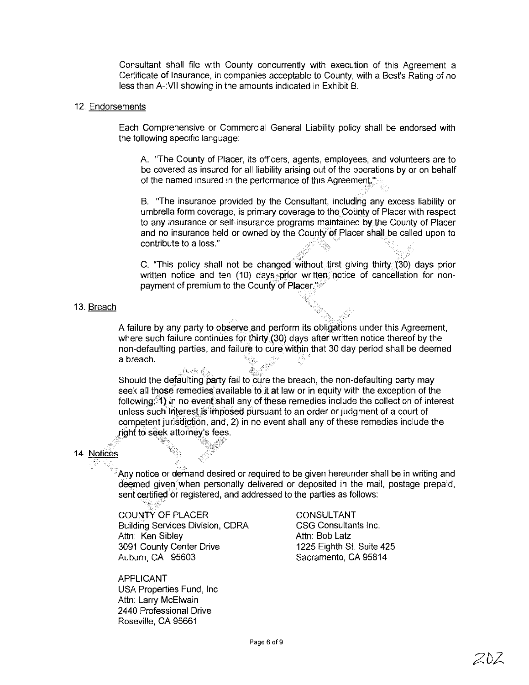Consultant shall file with County concurrently with execution of this Agreement a Certificate of Insurance, in companies acceptable to County, with a Best's Rating of no less than A-VII showing in the amounts indicated in Exhibit B.

#### 12. Endorsements

Each Comprehensive or Commercial General Liability policy shall be endorsed with the following specific language:

A. "The County of Placer, its officers, agents, employees, and volunteers are to be covered as insured for all liability arising out of the operations by or on behalf of the named insured in the performance of this Agreement.<sup>"</sup>

B. The insurance provided by the Consultant, including any excess liability or umbrella form coverage, is primary coverage to the County of Placer with respect to any insurance or self-insurance programs maintained by the County of Placer and no insurance held or owned by the County of Placer shall be called upon to contribute to a loss." ."'.::>..,:.......::':.. ',:.

C. "This policy shall not be changed without first giving thirty (30) days prior written notice and ten (10) days prior written, notice of cancellation for nonpayment of premium to the County of Placer."

#### 13. Breach

A failure by any party to observe and perform its obligations under this Agreement, where such failure continues for thirty (30) days after written notice thereof by the non-defaulting parties, and failure to cure within that 30 day period shall be deemed a breach. . >{'>

, "'.'.'>.., ,.<'.>

Should the defaulting party fail to cure the breach, the non-defaulting party may seek **all** those remedies available to it **at** law or in equity with the exception of the following:\1)in no everfshall anyofthese remedies include the collection of interest unless such interest is imposed pursuant to an order or judgment of a court of competent jurisdiction, and, 2) in no event shall any of these remedies include the right to seek attorney's fees. .' '~'j:j"::" \)'\' *,f<>* competent jurisdiction, a<br>| right to seek attorney's f<br>|<br>| es

#### 14. Notices

Any notice or demand desired or required to be given hereunder shall be in writing and deemed given when personally delivered or deposited in the mail, postage prepaid, sent certified or registered, and addressed to the parties as follows:

COUNTY OF PLACER Building Services Division, CORA Attn: Ken Sibley 3091 County Center Drive Aubum, CA 95603

ホチャネ

APPLICANT USA Properties Fund, Inc Attn: Larry McElwain 2440 Professional Drive Roseville, CA 95661

CONSULTANT CSG Consultants Inc. Attn: Bob Latz 1225 Eighth St. Suite 425 Sacramento, CA 95814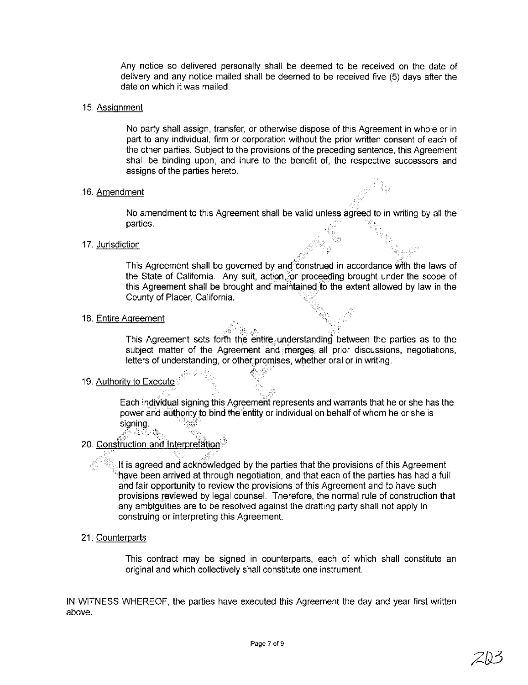Any notice so delivered personally shall be deemed to be received on the date of delivery and any notice mailed shall be deemed to be received five (5) days after the date on which it was mailed.

#### 15. Assignment

No party shall assign, transfer, or otherwise dispose of this Agreement in whole or in part to any individual, firm or corporation without the prior written consent of each of the other parties. SUbject to the provisions of the preceding sentence, this Agreement shall be binding upon, and inure to the benefit of, the respective successors and assigns of the parties hereto.

#### 16. Amendment

No amendment to this Agreement shall be valid unless agreed to in writing by all the **parties**.

#### 17. Jurisdiction

This Agreement shall be governed by and construed in accordance with the laws of the State of California. Any suit, action for proceeding brought under the scope of this Agreement shall be brought and maintained to the extent allowed by law in the County of Placer, California.

#### 18. Entire Agreement

This Agreement sets forth the entire understanding between the parties as to the subject matter of the Agreement and merges all prior discussions, negotiations, letters of understanding, or other promises, whether oral or in writing.

000 yrs o'r chwa

#### 19. Authority to Execute

Each individual signing this Agreement represents and warrants that he or she has the power and authority to bind the entity or individual on behalf of whom he or she is  $signing.$ 

#### $\mathscr{B}^{(n)}$  ,  $\mathscr{B}^{(n)}$  ,  $\mathscr{B}^{(n)}$  ,  $\mathscr{B}^{(n)}$  ,  $\mathscr{B}^{(n)}$  ,  $\mathscr{B}^{(n)}$ 20. <u>Construction and Interpretation</u>

 $\cdot$ It is agreed and acknowledged by the parties that the provisions of this Agreement have been arrived at through negotiation, and that each of the parties has had a full and fair opportunity to review the provisions of this Agreement and to have such provisions reviewed by legal counsel. Therefore, the normal rule of construction that any ambiguities are to be resolved against the drafting party shall not apply in construing or interpreting this Agreement.

#### 21. Counterparts

This contract may be signed in counterparts, each of which shall constitute an original and which collectively shall constitute one instrument

IN WITNESS WHEREOF, the parties have executed this Agreement the day and year first written above.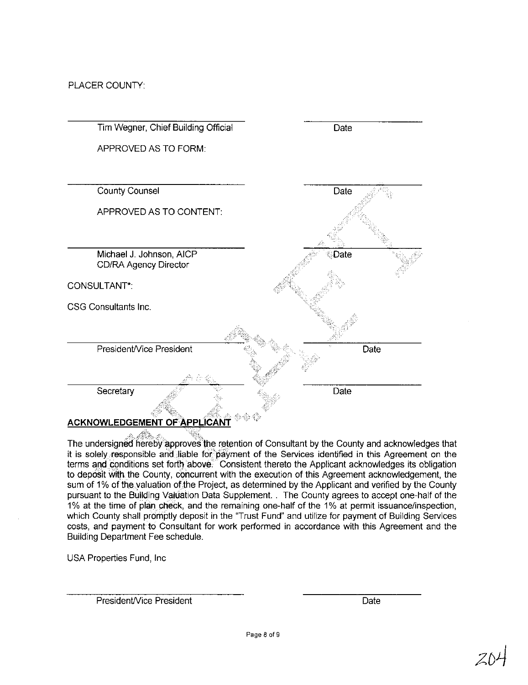PLACER COUNTY:



The undersigned hereby approves the retention of Consultant by the County and acknowledges that it is solely responsible and liable for payment of the Services identified in this Agreement on the terms and conditions set forth above." Consistent thereto the Applicant acknowledges its obligation to deposit with the County, concurrent with the execution of this Agreement acknowledgement, the sum of 1% of the valuation of the Project, as determined by the Applicant and verified by the County pursuant to the Building Valuation Data Supplement. The County agrees to accept one-half of the 1% at the time of plan check, and the remaining one-half of the 1% at permit issuance/inspection, which County shall promptly deposit in the "Trust Fund" and utilize for payment of Building Services costs, and payment to Consultant for work performed in accordance with this Agreement and the Building Department Fee schedule,

USA Properties Fund, Inc

PresidenWice President

Date

**Page 8 of9**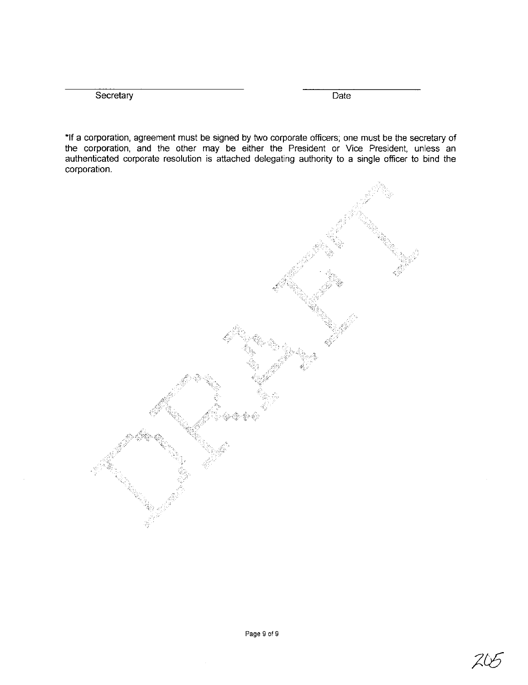Secretary Date **Date** 

**"If** a corporation, agreement must be signed by two corporate officers; one must be the secretary of the corporation, and the other may be either the President or Vice President, unless an authenticated corporate resolution is attached delegating authority to a single officer to bind the corporation.



20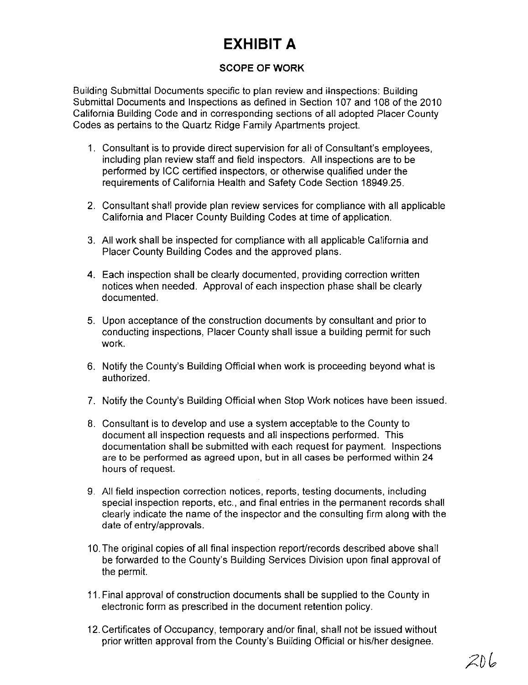## **EXHIBIT A**

## **SCOPE OF WORK**

Building Submittal Documents specific to plan review and i-Inspections: Building Submittal Documents and Inspections as defined in Section 107 and 108 of the 2010 California Building Code and in corresponding sections of all adopted Placer County Codes as pertains to the Quartz Ridge Farnily Apartments project.

- 1. Consultant is to provide direct supervision for all of Consultant's employees, including plan review staff and field inspectors. All inspections are to be performed by ICC certified inspectors, or otherwise qualified under the requirements of California Health and Safety Code Section 18949.25.
- 2. Consultant shall provide plan review services for compliance with all applicable California and Placer County Building Codes at time of application.
- 3. All work shall be inspected for compliance with all applicable California and Placer County Building Codes and the approved plans.
- 4. Each inspection shall be clearly documented, providing correction written notices when needed. Approval of each inspection phase shall be clearly documented.
- 5. Upon acceptance of the construction documents by consultant and prior to conducting inspections, Placer County shall issue a building permit for such work.
- 6. Notify the County's Building Official when work is proceeding beyond what is authorized.
- 7. Notify the County's Building Official when Stop Work notices have been issued.
- 8. Consultant is to develop and use a system acceptable to the County to document all inspection requests and all inspections performed. This documentation shall be submitted with each request for payment. Inspections are to be performed as agreed upon, but in all cases be performed within 24 hours of request.
- 9. All field inspection correction notices, reports, testing documents, including special inspection reports, etc., and final entries in the permanent records shall clearly indicate the name of the inspector and the consulting firm along with the date of entry/approvals.
- 10. The original copies of all final inspection report/records described above shall be forwarded to the County's Building Services Division upon final approval of the permit.
- 11. Final approval of construction documents shall be supplied to the County in electronic form as prescribed in the document retention policy.
- 12. Certificates of Occupancy, temporary and/or final, shall not be issued without prior written approval from the County's Building Official or his/her designee.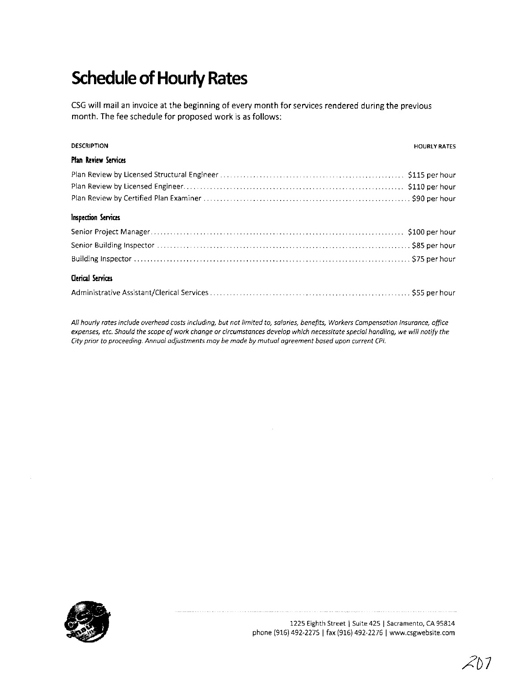# **SChedule of Hourly Rates**

CSG will mail an invoice at the beginning of every month for services rendered during the previous month. The fee schedule for proposed work is as follows:

| <b>DESCRIPTION</b>   | <b>HOURLY RATES</b> |
|----------------------|---------------------|
| Plan Review Services |                     |
|                      |                     |
|                      |                     |
|                      |                     |
| Inspection Services  |                     |
|                      |                     |
|                      |                     |
|                      |                     |
| Clerical Services    |                     |
|                      |                     |

All hourly rates include overhead costs including, but not limited to, salaries, benefits, Workers Compensation Insurance, office expenses, etc. Should the scope of work change or circumstances develop which necessitate special handling, we will notify the *City prior to proceeding. Annual adjustments may be made by mutual agreement based upon current CPl.*



**1225 Eighth Street I Suite 425 I Sacramento, CA 95814** phone (916) 492-2275 I fax (916) 492-2276 I www.csgwebsite.com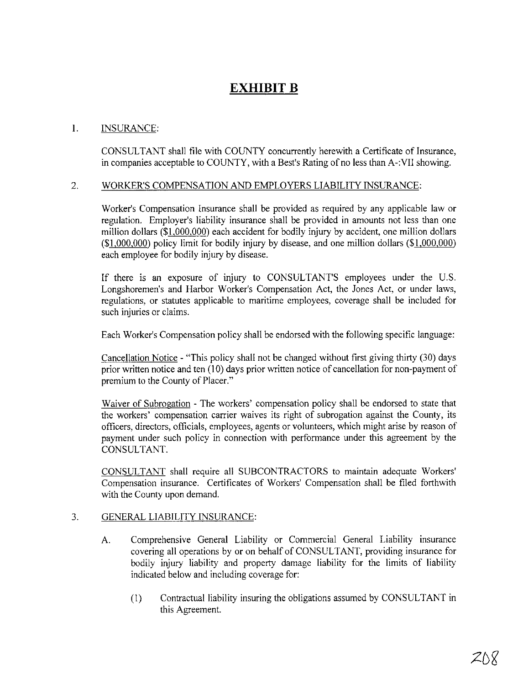## **EXHIBIT B**

## 1. INSURANCE:

CONSULTANT shall file with COUNTY concurrently herewith a Certificate of Insurance, in companies acceptable to COUNTY, with a Best's Rating of no less than A-:VII showing.

#### 2. WORKER'S COMPENSATION AND EMPLOYERS LIABILITY INSURANCE:

Worker's Compensation Insurance shall be provided as required by any applicable law or regulation. Employer's liability insurance shall be provided in amounts not less than one million dollars (\$1.000,000) each accident for bodily injury by accident, one million dollars  $($1,000,000)$  policy limit for bodily injury by disease, and one million dollars  $($1,000,000)$ each employee for bodily injury by disease.

**If** there is an exposure of injury to CONSULTANT'S employees under the U.S. Longshoremen's and Harbor Worker's Compensation Act, the Jones Act, or under laws, regulations, or statutes applicable to maritime employees, coverage shall be included for such injuries or claims.

Each Worker's Compensation policy shall be endorsed with the following specific language:

Cancellation Notice - "This policy shall not be changed without first giving thirty (30) days prior written notice and ten (10) days prior written notice of cancellation for non-payment of premium to the County of Placer."

Waiver of Subrogation - The workers' compensation policy shall be endorsed to state that the workers' compensation carrier waives its right of subrogation against the County, its officers, directors, officials, employees, agents or volunteers, which might arise by reason of payment under such policy in connection with performance under this agreement by the CONSULTANT.

CONSULTANT shall require all SUBCONTRACTORS to maintain adequate Workers' Compensation insurance. Certificates of Workers' Compensation shall be filed forthwith with the County upon demand.

## 3. GENERAL LIABILITY INSURANCE:

- A. Comprehensive General Liability or Commercial General Liability insurance covering all operations by or on behalf of CONSULTANT, providing insurance for bodily injury liability and property damage liability for the limits of liability indicated below and including coverage for:
	- (I) Contractual liability insuring the obligations assumed by CONSULTANT in this Agreement.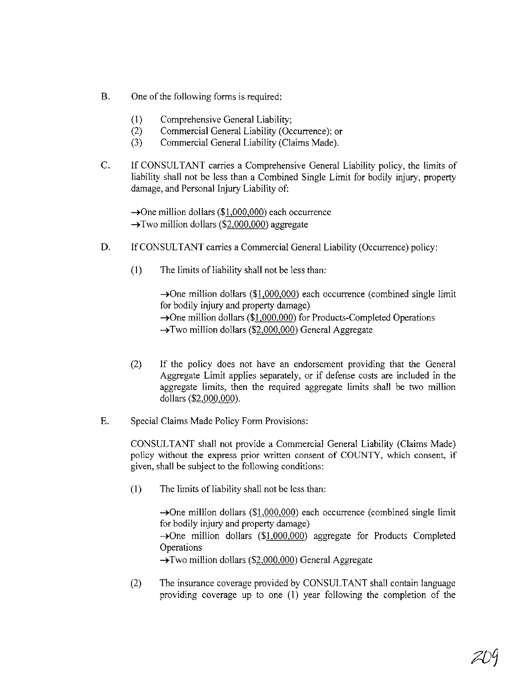- B. One of the following forms is required:
	- (I) Comprehensive General Liability;
	- (2) Commercial General Liability (Occurrence); or
	- (3) Commercial General Liability (Claims Made).
- C. If CONSULTANT carries a Comprehensive General Liability policy, the limits of liability shall not be less than a Combined Single Limit for bodily injury, property damage, and Personal Injury Liability of:

 $\rightarrow$ One million dollars (\$1,000,000) each occurrence  $\rightarrow$ Two million dollars (\$2,000,000) aggregate

- D. If CONSULTANT carries a Commercial General Liability (Occurrence) policy:
	- $(1)$  The limits of liability shall not be less than:

 $\rightarrow$ One million dollars (\$1,000,000) each occurrence (combined single limit for bodily injury and property damage)  $\rightarrow$ One million dollars (\$1,000,000) for Products-Completed Operations  $\rightarrow$ Two million dollars (\$2,000,000) General Aggregate

- (2) If the policy does not have an endorsement providing that the General Aggregate Limit applies separately, or if defense costs are included in the aggregate limits, then the required aggregate limits shall be two million dollars (\$2,000,000).
- E. Special Claims Made Policy Form Provisions:

CONSULTANT shall not provide a Commercial General Liability (Claims Made) policy without the express prior written consent of COUNTY, which consent, if given, shall be subject to the following conditions:

 $(1)$  The limits of liability shall not be less than:

 $\rightarrow$ One million dollars (\$1,000,000) each occurrence (combined single limit for bodily injury and property damage)  $\rightarrow$ One million dollars (\$1,000,000) aggregate for Products Completed **Operations**  $\rightarrow$  Two million dollars (\$2,000,000) General Aggregate

(2) The insurance coverage provided by CONSULTANT shall contain language providing coverage up to one (I) year following the completion of the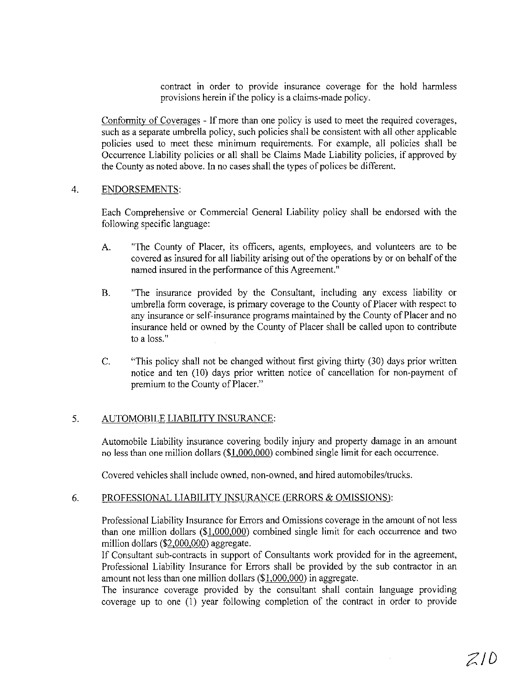contract in order to provide insurance coverage for the hold harmless provisions herein if the policy is a claims-made policy.

Conformity of Coverages - If more than one policy is used to meet the required coverages, such as a separate umbrella policy, such policies shall be consistent with all other applicable policies used to meet these minimum requirements. For example, all policies shall be Occurrence Liability policies or all shall be Claims Made Liability policies, if approved by the County as noted above. In no cases shall the types of polices be different.

#### 4. ENDORSEMENTS:

Each Comprehensive or Commercial General Liability policy shall be endorsed with the following specific language:

- A. "The County of Placer, its officers, agents, employees, and volunteers are to be covered as insured for all liability arising out of the operations by or on behalf of the named insured in the performance of this Agreement."
- B. "The insurance provided by the Consultant, including any excess liability or umbrella form coverage, is primary coverage to the County of Placer with respect to any insurance or self-insurance programs maintained by the County of Placer and no insurance held or owned by the County of Placer shall be called upon to contribute to a loss."
- C. 'This policy shall not be changed without first giving thirty (30) days prior written notice and ten (l0) days prior written notice of cancellation for non-payment of premium to the County of Placer."

## 5. AUTOMOBILE LIABILITY INSURANCE:

Automobile Liability insurance covering bodily injury and property damage in an amount no less than one million dollars (\$1,000,000) combined single limit for each occurrence.

Covered vehicles shall include owned, non-owned, and hired automobiles/trucks.

## 6. PROFESSIONAL LIABILITY INSURANCE (ERRORS & OMISSIONS):

Professional Liability Insurance for Errors and Omissions coverage in the amount of not less than one million dollars (\$1,000,000) combined single limit for each occurrence and two million dollars (\$2,000,000) aggregate.

If Consultant sub-contracts in support of Consultants work provided for in the agreement, Professional Liability Insurance for Errors shall be provided by the sub contractor in an amount not less than one million dollars (\$1,000,000) in aggregate.

The insurance coverage provided by the consultant shall contain language providing coverage up to one (1) year following completion of the contract in order to provide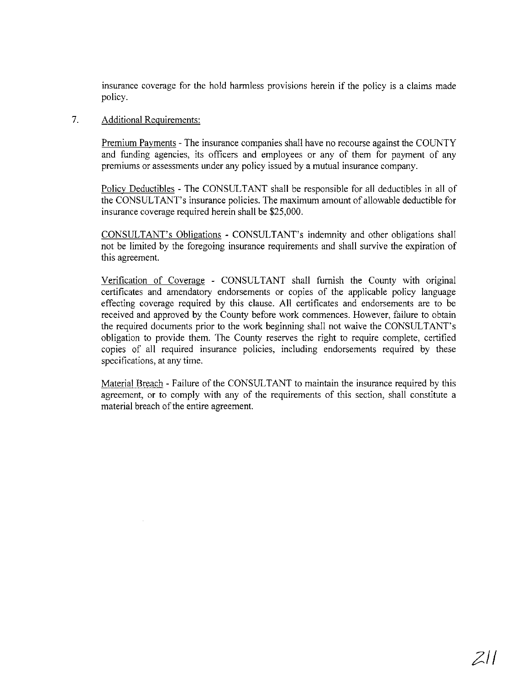insurance coverage for the hold harmless provisions herein if the policy is a claims made policy.

#### 7. Additional Requirements:

Premium Payments - The insurance companies shall have no recourse against the COUNTY and funding agencies, its officers and employees or any of them for payment of any premiums or assessments under any policy issued by a mutual insurance company.

Policy Deductibles - The CONSULTANT shall be responsible for all deductibles in all of the CONSULTANT's insurance policies. The maximum amount of allowable deductible for insurance coverage required herein shall be \$25,000.

CONSULTANT's Obligations - CONSULTANT's indemnity and other obligations shall not be limited by the foregoing insurance requirements and shall survive the expiration of this agreement.

Verification of Coverage - CONSULTANT shall furnish the County with original certificates and amendatory endorsements or copies of the applicable policy language effecting coverage required by this clause. All certificates and endorsements are to be received and approved by the County before work commences. However, failure to obtain the required documents prior to the work beginning shall not waive the CONSULTANT's obligation to provide them. The County reserves the right to require complete, certified copies of all required insurance policies, including endorsements required by these specifications, at any time.

Material Breach - Failure of the CONSULTANT to maintain the insurance required by this agreement, or to comply with any of the requirements of this section, shall constitute a material breach of the entire agreement.